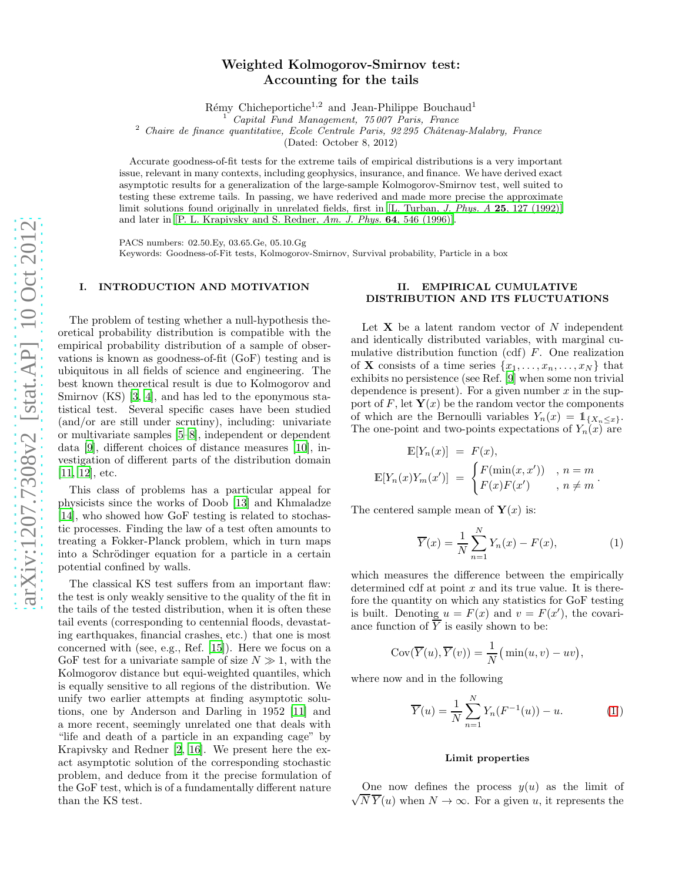# Weighted Kolmogorov-Smirnov test: Accounting for the tails

Rémy Chicheportiche<sup>1,2</sup> and Jean-Philippe Bouchaud<sup>1</sup>

<sup>1</sup> Capital Fund Management, 75 007 Paris, France

<sup>2</sup> Chaire de finance quantitative, Ecole Centrale Paris,  $92\,295$  Châtenay-Malabry, France

(Dated: October 8, 2012)

Accurate goodness-of-fit tests for the extreme tails of empirical distributions is a very important issue, relevant in many contexts, including geophysics, insurance, and finance. We have derived exact asymptotic results for a generalization of the large-sample Kolmogorov-Smirnov test, well suited to testing these extreme tails. In passing, we have rederived and made more precise the approximate limit solutions found originally in unrelated fields, first in [L. Turban, J. Phys. A 25[, 127 \(1992\)\]](#page-5-0) and later in [\[P. L. Krapivsky and S. Redner,](#page-5-1) Am. J. Phys. 64, 546 (1996)].

PACS numbers: 02.50.Ey, 03.65.Ge, 05.10.Gg

Keywords: Goodness-of-Fit tests, Kolmogorov-Smirnov, Survival probability, Particle in a box

## I. INTRODUCTION AND MOTIVATION

The problem of testing whether a null-hypothesis theoretical probability distribution is compatible with the empirical probability distribution of a sample of observations is known as goodness-of-fit (GoF) testing and is ubiquitous in all fields of science and engineering. The best known theoretical result is due to Kolmogorov and Smirnov (KS) [\[3](#page-5-2), [4\]](#page-5-3), and has led to the eponymous statistical test. Several specific cases have been studied (and/or are still under scrutiny), including: univariate or multivariate samples [\[5](#page-5-4)[–8\]](#page-5-5), independent or dependent data [\[9](#page-5-6)], different choices of distance measures [\[10\]](#page-5-7), investigation of different parts of the distribution domain [\[11,](#page-5-8) [12\]](#page-5-9), etc.

This class of problems has a particular appeal for physicists since the works of Doob [\[13\]](#page-5-10) and Khmaladze [\[14\]](#page-5-11), who showed how GoF testing is related to stochastic processes. Finding the law of a test often amounts to treating a Fokker-Planck problem, which in turn maps into a Schrödinger equation for a particle in a certain potential confined by walls.

The classical KS test suffers from an important flaw: the test is only weakly sensitive to the quality of the fit in the tails of the tested distribution, when it is often these tail events (corresponding to centennial floods, devastating earthquakes, financial crashes, etc.) that one is most concerned with (see, e.g., Ref. [\[15\]](#page-5-12)). Here we focus on a GoF test for a univariate sample of size  $N \gg 1$ , with the Kolmogorov distance but equi-weighted quantiles, which is equally sensitive to all regions of the distribution. We unify two earlier attempts at finding asymptotic solutions, one by Anderson and Darling in 1952 [\[11](#page-5-8)] and a more recent, seemingly unrelated one that deals with "life and death of a particle in an expanding cage" by Krapivsky and Redner [\[2](#page-5-1), [16\]](#page-5-13). We present here the exact asymptotic solution of the corresponding stochastic problem, and deduce from it the precise formulation of the GoF test, which is of a fundamentally different nature than the KS test.

# II. EMPIRICAL CUMULATIVE DISTRIBUTION AND ITS FLUCTUATIONS

Let  $X$  be a latent random vector of N independent and identically distributed variables, with marginal cumulative distribution function (cdf) F. One realization of **X** consists of a time series  $\{x_1, \ldots, x_n, \ldots, x_N\}$  that exhibits no persistence (see Ref. [\[9](#page-5-6)] when some non trivial dependence is present). For a given number  $x$  in the support of F, let  $Y(x)$  be the random vector the components of which are the Bernoulli variables  $Y_n(x) = 1_{\{X_n \leq x\}}$ . The one-point and two-points expectations of  $Y_n(x)$  are

$$
\mathbb{E}[Y_n(x)] = F(x),
$$
  

$$
\mathbb{E}[Y_n(x)Y_m(x')] = \begin{cases} F(\min(x, x')) & , n = m \\ F(x)F(x') & , n \neq m \end{cases}.
$$

The centered sample mean of  $\mathbf{Y}(x)$  is:

<span id="page-0-0"></span>
$$
\overline{Y}(x) = \frac{1}{N} \sum_{n=1}^{N} Y_n(x) - F(x), \qquad (1)
$$

which measures the difference between the empirically determined cdf at point  $x$  and its true value. It is therefore the quantity on which any statistics for GoF testing is built. Denoting  $u = F(x)$  and  $v = F(x')$ , the covariance function of  $\overline{Y}$  is easily shown to be:

$$
Cov(\overline{Y}(u), \overline{Y}(v)) = \frac{1}{N}(\min(u, v) - uv),
$$

where now and in the following

$$
\overline{Y}(u) = \frac{1}{N} \sum_{n=1}^{N} Y_n(F^{-1}(u)) - u.
$$
 (1')

# Limit properties

One now defines the process  $y(u)$  as the limit of  $\sqrt{N} \overline{Y}(u)$  when  $N \to \infty$ . For a given u, it represents the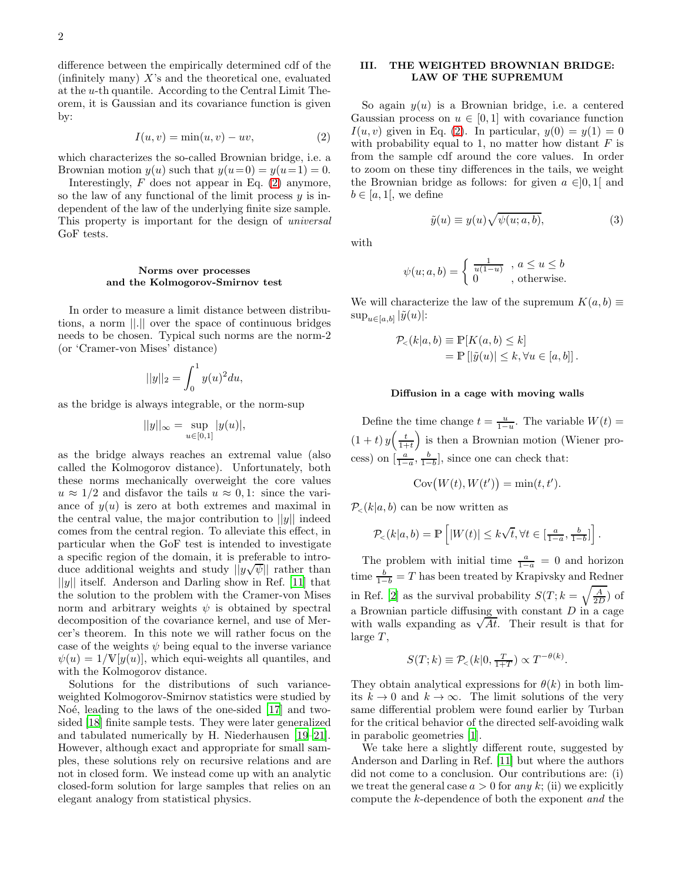difference between the empirically determined cdf of the (infinitely many)  $X$ 's and the theoretical one, evaluated at the u-th quantile. According to the Central Limit Theorem, it is Gaussian and its covariance function is given by:

<span id="page-1-0"></span>
$$
I(u, v) = \min(u, v) - uv,
$$
\n(2)

which characterizes the so-called Brownian bridge, i.e. a Brownian motion  $y(u)$  such that  $y(u=0) = y(u=1) = 0$ .

Interestingly,  $F$  does not appear in Eq.  $(2)$  anymore, so the law of any functional of the limit process  $y$  is independent of the law of the underlying finite size sample. This property is important for the design of universal GoF tests.

### Norms over processes and the Kolmogorov-Smirnov test

In order to measure a limit distance between distributions, a norm ||.|| over the space of continuous bridges needs to be chosen. Typical such norms are the norm-2 (or 'Cramer-von Mises' distance)

$$
||y||_2 = \int_0^1 y(u)^2 du,
$$

as the bridge is always integrable, or the norm-sup

$$
||y||_{\infty} = \sup_{u \in [0,1]} |y(u)|,
$$

as the bridge always reaches an extremal value (also called the Kolmogorov distance). Unfortunately, both these norms mechanically overweight the core values  $u \approx 1/2$  and disfavor the tails  $u \approx 0.1$ : since the variance of  $y(u)$  is zero at both extremes and maximal in the central value, the major contribution to  $||y||$  indeed comes from the central region. To alleviate this effect, in particular when the GoF test is intended to investigate a specific region of the domain, it is preferable to introduce additional weights and study  $||y\sqrt{\psi}||$  rather than  $||y||$  itself. Anderson and Darling show in Ref. [\[11\]](#page-5-8) that the solution to the problem with the Cramer-von Mises norm and arbitrary weights  $\psi$  is obtained by spectral decomposition of the covariance kernel, and use of Mercer's theorem. In this note we will rather focus on the case of the weights  $\psi$  being equal to the inverse variance  $\psi(u) = 1/\mathbb{V}[y(u)]$ , which equi-weights all quantiles, and with the Kolmogorov distance.

Solutions for the distributions of such varianceweighted Kolmogorov-Smirnov statistics were studied by No $\acute{e}$ , leading to the laws of the one-sided [\[17\]](#page-5-14) and twosided [\[18\]](#page-5-15) finite sample tests. They were later generalized and tabulated numerically by H. Niederhausen [\[19](#page-5-16)[–21\]](#page-5-17). However, although exact and appropriate for small samples, these solutions rely on recursive relations and are not in closed form. We instead come up with an analytic closed-form solution for large samples that relies on an elegant analogy from statistical physics.

# III. THE WEIGHTED BROWNIAN BRIDGE: LAW OF THE SUPREMUM

So again  $y(u)$  is a Brownian bridge, i.e. a centered Gaussian process on  $u \in [0,1]$  with covariance function  $I(u, v)$  given in Eq. [\(2\)](#page-1-0). In particular,  $y(0) = y(1) = 0$ with probability equal to 1, no matter how distant  $F$  is from the sample cdf around the core values. In order to zoom on these tiny differences in the tails, we weight the Brownian bridge as follows: for given  $a \in ]0,1[$  and  $b \in [a, 1]$ , we define

with

$$
\psi(u;a,b) = \begin{cases} \frac{1}{u(1-u)} , a \le u \le b \\ 0 , \text{ otherwise.} \end{cases}
$$

<span id="page-1-1"></span> $\tilde{y}(u) \equiv y(u)\sqrt{\psi(u;a,b)},$ (3)

We will characterize the law of the supremum  $K(a, b) \equiv$  $\sup_{u \in [a,b]} |\tilde{y}(u)|$ :

$$
\mathcal{P}_{\leq}(k|a,b) \equiv \mathbb{P}[K(a,b) \leq k] \n= \mathbb{P}[|\tilde{y}(u)| \leq k, \forall u \in [a,b]].
$$

#### Diffusion in a cage with moving walls

Define the time change  $t = \frac{u}{1-u}$ . The variable  $W(t) =$  $(1+t)y\left(\frac{t}{1+t}\right)$ ) is then a Brownian motion (Wiener process) on  $\left[\frac{a}{1-a}, \frac{b}{1-b}\right]$ , since one can check that:

$$
Cov(W(t), W(t')) = \min(t, t').
$$

 $P_{\leq}(k|a, b)$  can be now written as

$$
\mathcal{P}_{<}(k|a,b) = \mathbb{P}\left[|W(t)| \le k\sqrt{t}, \forall t \in \left[\frac{a}{1-a}, \frac{b}{1-b}\right]\right].
$$

The problem with initial time  $\frac{a}{1-a} = 0$  and horizon time  $\frac{b}{1-b} = T$  has been treated by Krapivsky and Redner in Ref. [\[2\]](#page-5-1) as the survival probability  $S(T; k = \sqrt{\frac{A}{2D}})$  of a Brownian particle diffusing with constant  $D$  in a cage with walls expanding as  $\sqrt{At}$ . Their result is that for large  $T$ .

$$
S(T;k) \equiv \mathcal{P}_{<}(k|0, \frac{T}{1+T}) \propto T^{-\theta(k)}.
$$

They obtain analytical expressions for  $\theta(k)$  in both limits  $k \to 0$  and  $k \to \infty$ . The limit solutions of the very same differential problem were found earlier by Turban for the critical behavior of the directed self-avoiding walk in parabolic geometries [\[1](#page-5-0)].

We take here a slightly different route, suggested by Anderson and Darling in Ref. [\[11\]](#page-5-8) but where the authors did not come to a conclusion. Our contributions are: (i) we treat the general case  $a > 0$  for any k; (ii) we explicitly compute the k-dependence of both the exponent and the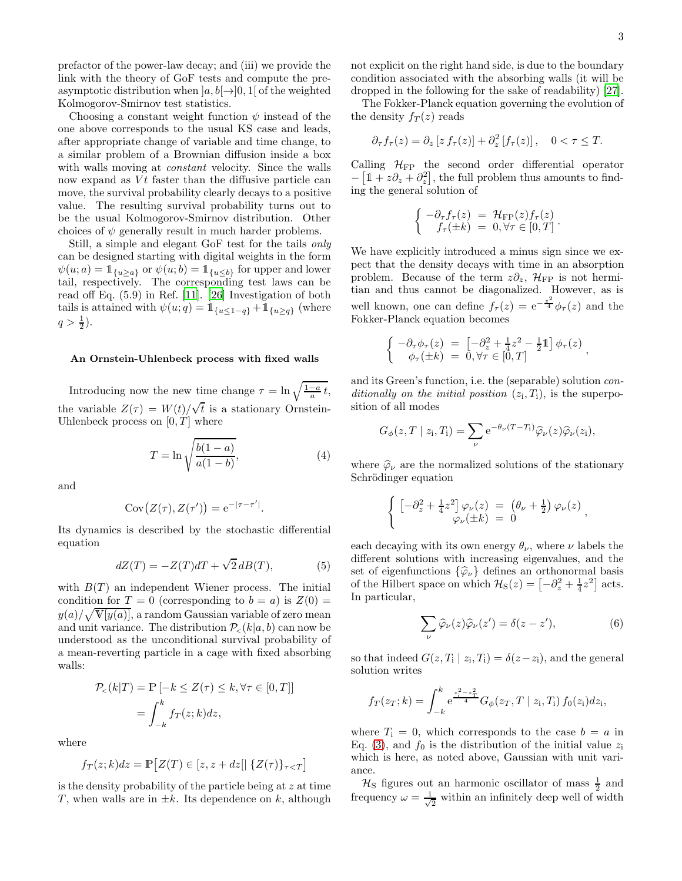prefactor of the power-law decay; and (iii) we provide the link with the theory of GoF tests and compute the preasymptotic distribution when  $[a, b] \rightarrow [0, 1]$  of the weighted Kolmogorov-Smirnov test statistics.

Choosing a constant weight function  $\psi$  instead of the one above corresponds to the usual KS case and leads, after appropriate change of variable and time change, to a similar problem of a Brownian diffusion inside a box with walls moving at constant velocity. Since the walls now expand as  $Vt$  faster than the diffusive particle can move, the survival probability clearly decays to a positive value. The resulting survival probability turns out to be the usual Kolmogorov-Smirnov distribution. Other choices of  $\psi$  generally result in much harder problems.

Still, a simple and elegant GoF test for the tails only can be designed starting with digital weights in the form  $\psi(u; a) = \mathbb{1}_{\{u \ge a\}}$  or  $\psi(u; b) = \mathbb{1}_{\{u \le b\}}$  for upper and lower tail, respectively. The corresponding test laws can be read off Eq. (5.9) in Ref. [\[11\]](#page-5-8). [\[26\]](#page-5-18) Investigation of both tails is attained with  $\psi(u; q) = 1_{\{u \leq 1-q\}} + 1_{\{u \geq q\}}$  (where  $q > \frac{1}{2}$ ).

#### An Ornstein-Uhlenbeck process with fixed walls

Introducing now the new time change  $\tau = \ln \sqrt{\frac{1-a}{a}} t$ , the variable  $Z(\tau) = W(t)/\sqrt{t}$  is a stationary Ornstein-Uhlenbeck process on  $[0, T]$  where

<span id="page-2-1"></span>
$$
T = \ln \sqrt{\frac{b(1-a)}{a(1-b)}},\tag{4}
$$

and

$$
Cov(Z(\tau), Z(\tau')) = e^{-|\tau - \tau'|}.
$$

Its dynamics is described by the stochastic differential equation

$$
dZ(T) = -Z(T)dT + \sqrt{2}dB(T), \qquad (5)
$$

with  $B(T)$  an independent Wiener process. The initial condition for  $T = 0$  (corresponding to  $b = a$ ) is  $Z(0) =$  $y(a)/\sqrt{\mathbb{V}[y(a)]}$ , a random Gaussian variable of zero mean and unit variance. The distribution  $P_{\leq}(k|a, b)$  can now be understood as the unconditional survival probability of a mean-reverting particle in a cage with fixed absorbing walls:

$$
\mathcal{P}_{\leq}(k|T) = \mathbb{P}\left[-k \leq Z(\tau) \leq k, \forall \tau \in [0, T]\right]
$$

$$
= \int_{-k}^{k} f_T(z; k) dz,
$$

where

$$
f_T(z; k)dz = \mathbb{P}\big[Z(T) \in [z, z + dz] | \{Z(\tau)\}_{\tau < T}\big]
$$

is the density probability of the particle being at z at time T, when walls are in  $\pm k$ . Its dependence on k, although not explicit on the right hand side, is due to the boundary condition associated with the absorbing walls (it will be dropped in the following for the sake of readability) [\[27\]](#page-6-0).

The Fokker-Planck equation governing the evolution of the density  $f_T(z)$  reads

$$
\partial_{\tau} f_{\tau}(z) = \partial_{z} \left[ z f_{\tau}(z) \right] + \partial_{z}^{2} \left[ f_{\tau}(z) \right], \quad 0 < \tau \leq T.
$$

Calling  $\mathcal{H}_{\text{FP}}$  the second order differential operator  $-\left[1+z\partial_z+\partial_z^2\right]$ , the full problem thus amounts to finding the general solution of

$$
\begin{cases}\n-\partial_{\tau}f_{\tau}(z) = \mathcal{H}_{\text{FP}}(z)f_{\tau}(z) \\
f_{\tau}(\pm k) = 0, \forall \tau \in [0, T]\n\end{cases}.
$$

We have explicitly introduced a minus sign since we expect that the density decays with time in an absorption problem. Because of the term  $z\partial_z$ ,  $\mathcal{H}_{\text{FP}}$  is not hermitian and thus cannot be diagonalized. However, as is well known, one can define  $f_{\tau}(z) = e^{-\frac{z^2}{4}} \phi_{\tau}(z)$  and the Fokker-Planck equation becomes

$$
\begin{cases}\n-\partial_{\tau}\phi_{\tau}(z) = \left[-\partial_z^2 + \frac{1}{4}z^2 - \frac{1}{2}\mathbb{1}\right]\phi_{\tau}(z) \\
\phi_{\tau}(\pm k) = 0, \forall \tau \in [0, T]\n\end{cases}
$$

and its Green's function, i.e. the (separable) solution conditionally on the initial position  $(z_i, T_i)$ , is the superposition of all modes

$$
G_{\phi}(z,T \mid z_i,T_i) = \sum_{\nu} e^{-\theta_{\nu}(T-T_i)} \widehat{\varphi}_{\nu}(z) \widehat{\varphi}_{\nu}(z_i),
$$

where  $\hat{\varphi}_{\nu}$  are the normalized solutions of the stationary Schrödinger equation

$$
\begin{cases}\n\left[-\partial_z^2 + \frac{1}{4}z^2\right]\varphi_{\nu}(z) = \left(\theta_{\nu} + \frac{1}{2}\right)\varphi_{\nu}(z) \\
\varphi_{\nu}(\pm k) = 0\n\end{cases}
$$

each decaying with its own energy  $\theta_{\nu}$ , where  $\nu$  labels the different solutions with increasing eigenvalues, and the set of eigenfunctions  $\{\hat{\varphi}_{\nu}\}\$  defines an orthonormal basis of the Hilbert space on which  $\mathcal{H}_{S}(z) = \left[-\partial_z^2 + \frac{1}{4}z^2\right]$  acts. In particular,

<span id="page-2-0"></span>
$$
\sum_{\nu} \widehat{\varphi}_{\nu}(z)\widehat{\varphi}_{\nu}(z') = \delta(z - z'),\tag{6}
$$

so that indeed  $G(z, T_i | z_i, T_i) = \delta(z - z_i)$ , and the general solution writes

$$
f_T(z_T;k) = \int_{-k}^k e^{\frac{z_1^2 - z_T^2}{4}} G_{\phi}(z_T,T \mid z_i,T_i) f_0(z_i) dz_i,
$$

where  $T_i = 0$ , which corresponds to the case  $b = a$  in Eq. [\(3\)](#page-1-1), and  $f_0$  is the distribution of the initial value  $z_i$ which is here, as noted above, Gaussian with unit variance.

 $\mathcal{H}_\text{S}$  figures out an harmonic oscillator of mass  $\frac{1}{2}$  and frequency  $\omega = \frac{1}{\sqrt{2}}$  $\frac{1}{2}$  within an infinitely deep well of width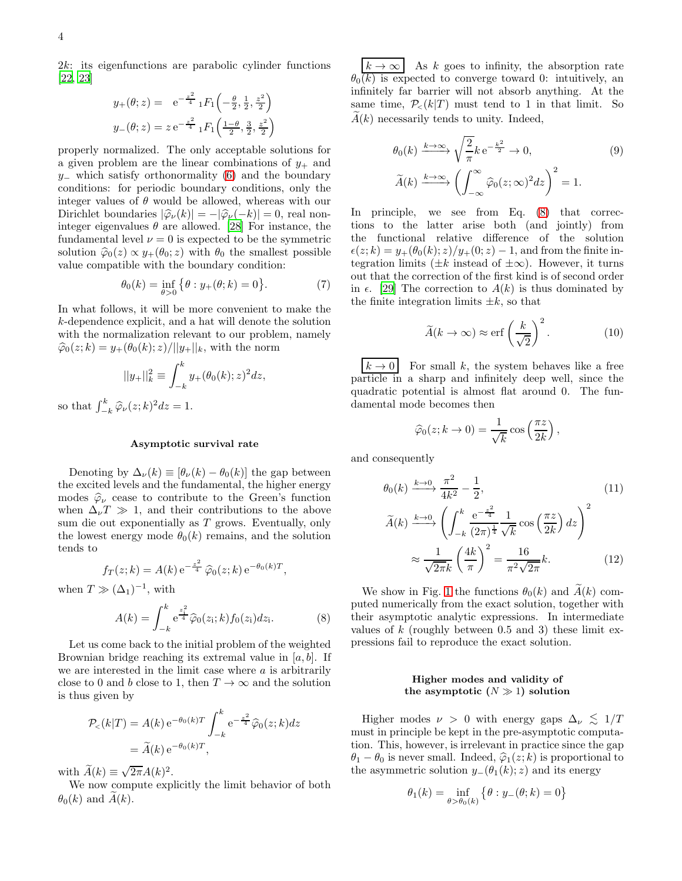2k: its eigenfunctions are parabolic cylinder functions [\[22,](#page-5-19) [23\]](#page-5-20)

$$
y_{+}(\theta; z) = e^{-\frac{z^{2}}{4}} {}_{1}F_{1}\left(-\frac{\theta}{2}, \frac{1}{2}, \frac{z^{2}}{2}\right)
$$

$$
y_{-}(\theta; z) = z e^{-\frac{z^{2}}{4}} {}_{1}F_{1}\left(\frac{1-\theta}{2}, \frac{3}{2}, \frac{z^{2}}{2}\right)
$$

properly normalized. The only acceptable solutions for a given problem are the linear combinations of  $y_+$  and  $y_$  which satisfy orthonormality [\(6\)](#page-2-0) and the boundary conditions: for periodic boundary conditions, only the integer values of  $\theta$  would be allowed, whereas with our Dirichlet boundaries  $|\widehat{\varphi}_{\nu}(k)| = -|\widehat{\varphi}_{\nu}(-k)| = 0$ , real noninteger eigenvalues  $\theta$  are allowed. [\[28](#page-6-1)] For instance, the fundamental level  $\nu = 0$  is expected to be the symmetric solution  $\hat{\varphi}_0(z) \propto y_+(\theta_0; z)$  with  $\theta_0$  the smallest possible value compatible with the boundary condition:

$$
\theta_0(k) = \inf_{\theta > 0} \{ \theta : y_+(\theta; k) = 0 \}.
$$
 (7)

In what follows, it will be more convenient to make the k-dependence explicit, and a hat will denote the solution with the normalization relevant to our problem, namely  $\hat{\varphi}_0(z; k) = y_+(\theta_0(k); z)/||y_+||_k$ , with the norm

$$
||y_{+}||_{k}^{2} \equiv \int_{-k}^{k} y_{+}(\theta_{0}(k); z)^{2} dz,
$$

so that  $\int_{-k}^{k} \widehat{\varphi}_{\nu}(z;k)^2 dz = 1.$ 

### Asymptotic survival rate

Denoting by  $\Delta_{\nu}(k) \equiv [\theta_{\nu}(k) - \theta_{0}(k)]$  the gap between the excited levels and the fundamental, the higher energy modes  $\hat{\varphi}_{\nu}$  cease to contribute to the Green's function when  $\Delta_{\nu}T \gg 1$ , and their contributions to the above sum die out exponentially as  $T$  grows. Eventually, only the lowest energy mode  $\theta_0(k)$  remains, and the solution tends to

$$
f_T(z; k) = A(k) e^{-\frac{z^2}{4}} \hat{\varphi}_0(z; k) e^{-\theta_0(k)T},
$$

when  $T \gg (\Delta_1)^{-1}$ , with

<span id="page-3-0"></span>
$$
A(k) = \int_{-k}^{k} e^{\frac{z_1^2}{4}} \hat{\varphi}_0(z_1; k) f_0(z_1) dz_1.
$$
 (8)

Let us come back to the initial problem of the weighted Brownian bridge reaching its extremal value in  $[a, b]$ . If we are interested in the limit case where  $a$  is arbitrarily close to 0 and b close to 1, then  $T\to\infty$  and the solution is thus given by

$$
\mathcal{P}_{<}(k|T) = A(k) e^{-\theta_0(k)T} \int_{-k}^{k} e^{-\frac{z^2}{4}} \widehat{\varphi}_0(z;k) dz
$$

$$
= \widetilde{A}(k) e^{-\theta_0(k)T},
$$

with  $\widetilde{A}(k) \equiv \sqrt{2\pi}A(k)^2$ .

We now compute explicitly the limit behavior of both  $\theta_0(k)$  and  $A(k)$ .

 $|k \to \infty|$  As k goes to infinity, the absorption rate  $\theta_0(k)$  is expected to converge toward 0: intuitively, an infinitely far barrier will not absorb anything. At the same time,  $P_{\leq}(k|T)$  must tend to 1 in that limit. So  $A(k)$  necessarily tends to unity. Indeed,

$$
\theta_0(k) \xrightarrow{k \to \infty} \sqrt{\frac{2}{\pi}} k e^{-\frac{k^2}{2}} \to 0,
$$
\n
$$
\widetilde{A}(k) \xrightarrow{k \to \infty} \left( \int_{-\infty}^{\infty} \widehat{\varphi}_0(z; \infty)^2 dz \right)^2 = 1.
$$
\n(9)

In principle, we see from Eq. [\(8\)](#page-3-0) that corrections to the latter arise both (and jointly) from the functional relative difference of the solution  $\epsilon(z; k) = y_+(\theta_0(k); z)/y_+(0; z) - 1$ , and from the finite integration limits ( $\pm k$  instead of  $\pm \infty$ ). However, it turns out that the correction of the first kind is of second order in  $\epsilon$ . [\[29\]](#page-6-2) The correction to  $A(k)$  is thus dominated by the finite integration limits  $\pm k$ , so that

$$
\widetilde{A}(k \to \infty) \approx \text{erf}\left(\frac{k}{\sqrt{2}}\right)^2. \tag{10}
$$

 $k \to 0$  For small k, the system behaves like a free particle in a sharp and infinitely deep well, since the quadratic potential is almost flat around 0. The fundamental mode becomes then

$$
\widehat{\varphi}_0(z; k \to 0) = \frac{1}{\sqrt{k}} \cos\left(\frac{\pi z}{2k}\right),
$$

and consequently

$$
\theta_0(k) \xrightarrow{k \to 0} \frac{\pi^2}{4k^2} - \frac{1}{2},
$$
\n
$$
\widetilde{A}(k) \xrightarrow{k \to 0} \left( \int_{-k}^k \frac{e^{-\frac{z^2}{4}}}{(2\pi)^{\frac{1}{4}}} \frac{1}{\sqrt{k}} \cos\left(\frac{\pi z}{2k}\right) dz \right)^2
$$
\n
$$
\approx \frac{1}{\sqrt{2\pi k}} \left( \frac{4k}{\pi} \right)^2 = \frac{16}{\pi^2 \sqrt{2\pi}} k.
$$
\n(12)

We show in Fig. [1](#page-4-0) the functions  $\theta_0(k)$  and  $A(k)$  computed numerically from the exact solution, together with their asymptotic analytic expressions. In intermediate values of  $k$  (roughly between 0.5 and 3) these limit expressions fail to reproduce the exact solution.

# Higher modes and validity of the asymptotic  $(N \gg 1)$  solution

Higher modes  $\nu > 0$  with energy gaps  $\Delta_{\nu} \lesssim 1/T$ must in principle be kept in the pre-asymptotic computation. This, however, is irrelevant in practice since the gap  $\theta_1 - \theta_0$  is never small. Indeed,  $\hat{\varphi}_1(z; k)$  is proportional to the asymmetric solution  $y_-(\theta_1(k); z)$  and its energy

$$
\theta_1(k)=\inf_{\theta>\theta_0(k)}\left\{\theta:y_-(\theta;k)=0\right\}
$$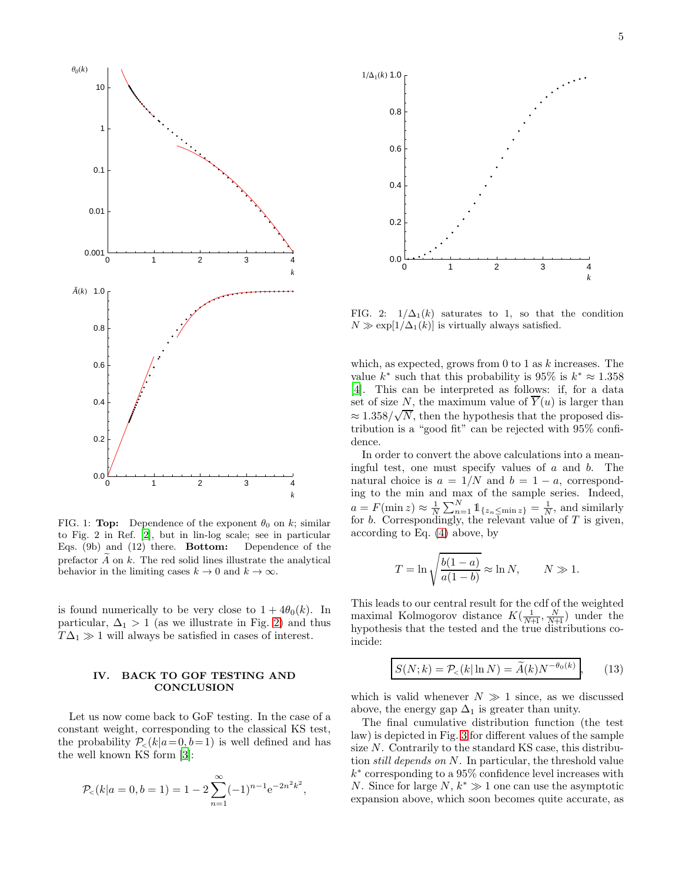

<span id="page-4-0"></span>FIG. 1: Top: Dependence of the exponent  $\theta_0$  on k; similar to Fig. 2 in Ref. [\[2](#page-5-1)], but in lin-log scale; see in particular Eqs. (9b) and (12) there. Bottom: Dependence of the prefactor  $A$  on  $k$ . The red solid lines illustrate the analytical behavior in the limiting cases  $k \to 0$  and  $k \to \infty$ .

is found numerically to be very close to  $1 + 4\theta_0(k)$ . In particular,  $\Delta_1 > 1$  (as we illustrate in Fig. [2\)](#page-4-1) and thus  $T\Delta_1 \gg 1$  will always be satisfied in cases of interest.

# IV. BACK TO GOF TESTING AND **CONCLUSION**

Let us now come back to GoF testing. In the case of a constant weight, corresponding to the classical KS test, the probability  $P_{\leq}(k|a=0, b=1)$  is well defined and has the well known KS form [\[3\]](#page-5-2):

$$
\mathcal{P}_{<}(k|a=0,b=1) = 1 - 2\sum_{n=1}^{\infty} (-1)^{n-1} e^{-2n^2 k^2},
$$



<span id="page-4-1"></span>FIG. 2:  $1/\Delta_1(k)$  saturates to 1, so that the condition  $N \gg \exp[1/\Delta_1(k)]$  is virtually always satisfied.

which, as expected, grows from 0 to 1 as  $k$  increases. The value  $k^*$  such that this probability is 95% is  $k^* \approx 1.358$ [\[4\]](#page-5-3). This can be interpreted as follows: if, for a data set of size N, the maximum value of  $\overline{Y}(u)$  is larger than  $\approx 1.358/\sqrt{N}$ , then the hypothesis that the proposed distribution is a "good fit" can be rejected with 95% confidence.

In order to convert the above calculations into a meaningful test, one must specify values of  $a$  and  $b$ . The natural choice is  $a = 1/N$  and  $b = 1 - a$ , corresponding to the min and max of the sample series. Indeed,  $a = F(\min z) \approx \frac{1}{N} \sum_{n=1}^{N} \mathbb{1}_{\{z_n \leq \min z\}} = \frac{1}{N}$ , and similarly for  $b$ . Correspondingly, the relevant value of  $T$  is given, according to Eq. [\(4\)](#page-2-1) above, by

$$
T = \ln \sqrt{\frac{b(1-a)}{a(1-b)}} \approx \ln N, \qquad N \gg 1.
$$

This leads to our central result for the cdf of the weighted maximal Kolmogorov distance  $K(\frac{1}{N+1}, \frac{N}{N+1})$  under the hypothesis that the tested and the true distributions coincide:

<span id="page-4-2"></span>
$$
S(N;k) = \mathcal{P}_{\leq}(k|\ln N) = \widetilde{A}(k)N^{-\theta_0(k)},\qquad(13)
$$

which is valid whenever  $N \gg 1$  since, as we discussed above, the energy gap  $\Delta_1$  is greater than unity.

The final cumulative distribution function (the test law) is depicted in Fig. [3](#page-5-21) for different values of the sample size  $N$ . Contrarily to the standard KS case, this distribution still depends on N. In particular, the threshold value k ∗ corresponding to a 95% confidence level increases with N. Since for large  $N, k^* \gg 1$  one can use the asymptotic expansion above, which soon becomes quite accurate, as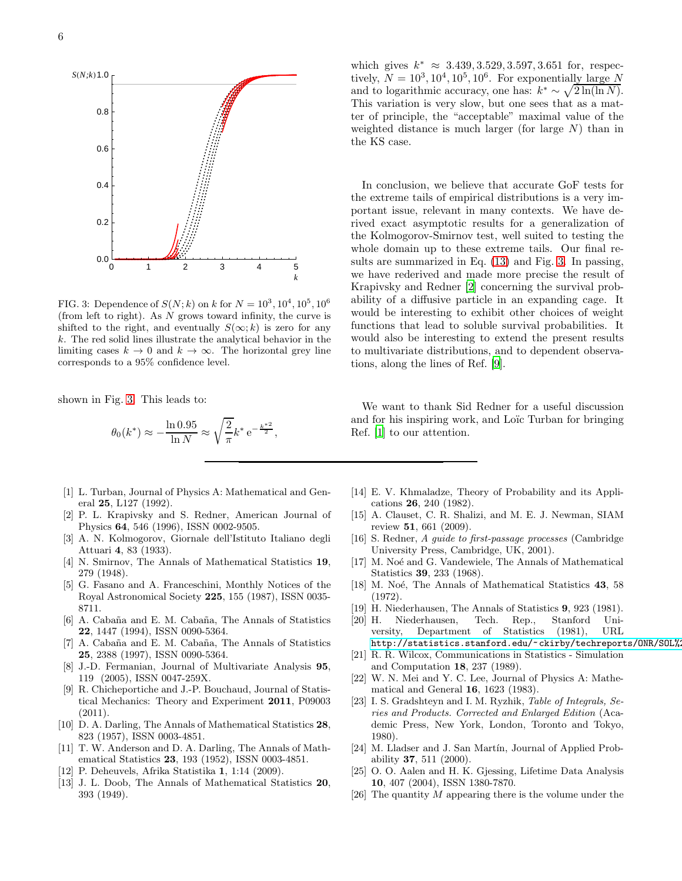

<span id="page-5-21"></span>FIG. 3: Dependence of  $S(N; k)$  on k for  $N = 10^3, 10^4, 10^5, 10^6$ (from left to right). As  $N$  grows toward infinity, the curve is shifted to the right, and eventually  $S(\infty; k)$  is zero for any k. The red solid lines illustrate the analytical behavior in the limiting cases  $k \to 0$  and  $k \to \infty$ . The horizontal grey line corresponds to a 95% confidence level.

shown in Fig. [3.](#page-5-21) This leads to:

$$
\theta_0(k^*) \approx -\frac{\ln 0.95}{\ln N} \approx \sqrt{\frac{2}{\pi}} k^* e^{-\frac{k^{*2}}{2}},
$$

- <span id="page-5-0"></span>[1] L. Turban, Journal of Physics A: Mathematical and General 25, L127 (1992).
- <span id="page-5-1"></span>[2] P. L. Krapivsky and S. Redner, American Journal of Physics 64, 546 (1996), ISSN 0002-9505.
- <span id="page-5-2"></span>[3] A. N. Kolmogorov, Giornale dell'Istituto Italiano degli Attuari 4, 83 (1933).
- <span id="page-5-3"></span>[4] N. Smirnov, The Annals of Mathematical Statistics 19, 279 (1948).
- <span id="page-5-4"></span>[5] G. Fasano and A. Franceschini, Monthly Notices of the Royal Astronomical Society 225, 155 (1987), ISSN 0035- 8711.
- [6] A. Cabaña and E. M. Cabaña, The Annals of Statistics 22, 1447 (1994), ISSN 0090-5364.
- [7] A. Cabaña and E. M. Cabaña, The Annals of Statistics 25, 2388 (1997), ISSN 0090-5364.
- <span id="page-5-5"></span>[8] J.-D. Fermanian, Journal of Multivariate Analysis 95, 119 (2005), ISSN 0047-259X.
- <span id="page-5-6"></span>[9] R. Chicheportiche and J.-P. Bouchaud, Journal of Statistical Mechanics: Theory and Experiment 2011, P09003 (2011).
- <span id="page-5-7"></span>[10] D. A. Darling, The Annals of Mathematical Statistics 28, 823 (1957), ISSN 0003-4851.
- <span id="page-5-8"></span>[11] T. W. Anderson and D. A. Darling, The Annals of Mathematical Statistics 23, 193 (1952), ISSN 0003-4851.
- <span id="page-5-9"></span>[12] P. Deheuvels, Afrika Statistika 1, 1:14 (2009).
- <span id="page-5-10"></span>[13] J. L. Doob, The Annals of Mathematical Statistics 20, 393 (1949).

which gives  $k^* \approx 3.439, 3.529, 3.597, 3.651$  for, respectively,  $N = 10^3, 10^4, 10^5, 10^6$ . For exponentially large N and to logarithmic accuracy, one has:  $k^* \sim \sqrt{2 \ln(\ln N)}$ . This variation is very slow, but one sees that as a matter of principle, the "acceptable" maximal value of the weighted distance is much larger (for large  $N$ ) than in the KS case.

In conclusion, we believe that accurate GoF tests for the extreme tails of empirical distributions is a very important issue, relevant in many contexts. We have derived exact asymptotic results for a generalization of the Kolmogorov-Smirnov test, well suited to testing the whole domain up to these extreme tails. Our final results are summarized in Eq. [\(13\)](#page-4-2) and Fig. [3.](#page-5-21) In passing, we have rederived and made more precise the result of Krapivsky and Redner [\[2\]](#page-5-1) concerning the survival probability of a diffusive particle in an expanding cage. It would be interesting to exhibit other choices of weight functions that lead to soluble survival probabilities. It would also be interesting to extend the present results to multivariate distributions, and to dependent observations, along the lines of Ref. [\[9\]](#page-5-6).

We want to thank Sid Redner for a useful discussion and for his inspiring work, and Loïc Turban for bringing Ref. [\[1\]](#page-5-0) to our attention.

- <span id="page-5-11"></span>[14] E. V. Khmaladze, Theory of Probability and its Applications 26, 240 (1982).
- <span id="page-5-12"></span>[15] A. Clauset, C. R. Shalizi, and M. E. J. Newman, SIAM review 51, 661 (2009).
- <span id="page-5-13"></span>[16] S. Redner, A guide to first-passage processes (Cambridge University Press, Cambridge, UK, 2001).
- <span id="page-5-14"></span>[17] M. Noé and G. Vandewiele, The Annals of Mathematical Statistics 39, 233 (1968).
- <span id="page-5-15"></span>[18] M. Noé, The Annals of Mathematical Statistics 43, 58 (1972).
- <span id="page-5-16"></span>[19] H. Niederhausen, The Annals of Statistics 9, 923 (1981).
- Niederhausen, Tech. Rep., Stanford University, Department of Statistics (1981), URL http://statistics.stanford.edu/~ckirby/techreports/ONR/SOL%
- <span id="page-5-17"></span>[21] R. R. Wilcox, Communications in Statistics - Simulation and Computation 18, 237 (1989).
- <span id="page-5-19"></span>[22] W. N. Mei and Y. C. Lee, Journal of Physics A: Mathematical and General 16, 1623 (1983).
- <span id="page-5-20"></span>[23] I. S. Gradshteyn and I. M. Ryzhik, Table of Integrals, Series and Products. Corrected and Enlarged Edition (Academic Press, New York, London, Toronto and Tokyo, 1980).
- <span id="page-5-22"></span>[24] M. Lladser and J. San Martín, Journal of Applied Probability 37, 511 (2000).
- <span id="page-5-23"></span>[25] O. O. Aalen and H. K. Gjessing, Lifetime Data Analysis 10, 407 (2004), ISSN 1380-7870.
- <span id="page-5-18"></span>[26] The quantity  $M$  appearing there is the volume under the